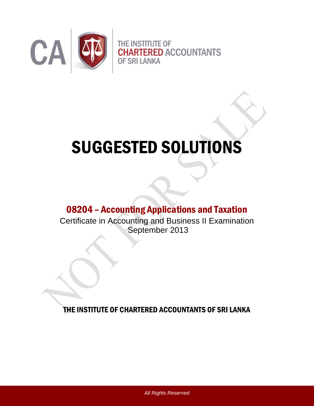

# SUGGESTED SOLUTIONS

# 08204 – Accounting Applications and Taxation

Certificate in Accounting and Business II Examination September 2013

THE INSTITUTE OF CHARTERED ACCOUNTANTS OF SRI LANKA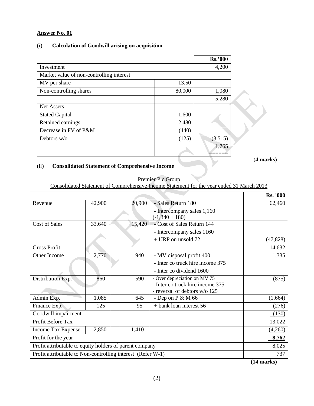# (i) **Calculation of Goodwill arising on acquisition**

|                                          |        | <b>Rs.'000</b> |
|------------------------------------------|--------|----------------|
| Investment                               |        | 4,200          |
| Market value of non-controlling interest |        |                |
| MV per share                             | 13.50  |                |
| Non-controlling shares                   | 80,000 | 1,080          |
|                                          |        | 5,280          |
| <b>Net Assets</b>                        |        |                |
| <b>Stated Capital</b>                    | 1,600  |                |
| Retained earnings                        | 2,480  |                |
| Decrease in FV of P&M                    | (440)  |                |
| Debtors $w/o$                            | 125)   | (3,515)        |
|                                          |        | 1,765          |
|                                          |        |                |

(**4 marks)**

# (ii) **Consolidated Statement of Comprehensive Income**

| Premier Plc Group<br>Consolidated Statement of Comprehensive Income Statement for the year ended 31 March 2013 |        |  |        |                                                |                 |
|----------------------------------------------------------------------------------------------------------------|--------|--|--------|------------------------------------------------|-----------------|
|                                                                                                                |        |  |        |                                                | <b>Rs. '000</b> |
| Revenue                                                                                                        | 42,900 |  | 20,900 | - Sales Return 180                             | 62,460          |
|                                                                                                                |        |  |        | - Intercompany sales 1,160<br>$(-1,340 + 180)$ |                 |
| <b>Cost of Sales</b>                                                                                           | 33,640 |  | 15,420 | - Cost of Sales Return 144                     |                 |
|                                                                                                                |        |  |        | - Intercompany sales 1160                      |                 |
|                                                                                                                |        |  |        | $+$ URP on unsold 72                           | (47, 828)       |
| <b>Gross Profit</b>                                                                                            |        |  |        |                                                | 14,632          |
| Other Income                                                                                                   | 2,770  |  | 940    | - MV disposal profit 400                       | 1,335           |
|                                                                                                                |        |  |        | - Inter co truck hire income 375               |                 |
|                                                                                                                |        |  |        | - Inter co dividend 1600                       |                 |
| Distribution Exp.                                                                                              | 860    |  | 590    | - Over depreciation on MV 75                   | (875)           |
|                                                                                                                |        |  |        | - Inter co truck hire income 375               |                 |
|                                                                                                                |        |  |        | - reversal of debtors w/o 125                  |                 |
| Admin Exp.                                                                                                     | 1,085  |  | 645    | - Dep on $P & M 66$                            | (1,664)         |
| Finance Exp.                                                                                                   | 125    |  | 95     | + bank loan interest 56                        | (276)           |
| Goodwill impairment                                                                                            |        |  |        |                                                | (130)           |
| Profit Before Tax                                                                                              |        |  |        |                                                | 13,022          |
| Income Tax Expense                                                                                             | 2,850  |  | 1,410  |                                                | (4,260)         |
| Profit for the year                                                                                            |        |  |        |                                                | 8,762           |
| Profit attributable to equity holders of parent company                                                        |        |  |        |                                                | 8,025           |
| Profit attributable to Non-controlling interest (Refer W-1)                                                    |        |  |        |                                                | 737             |

**(14 marks)**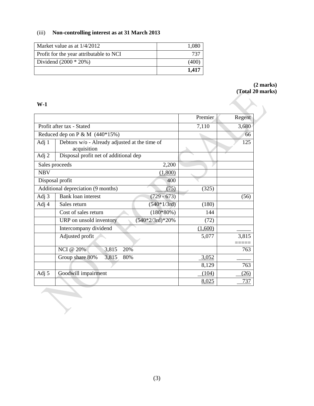# (iii) **Non-controlling interest as at 31 March 2013**

| Market value as at $1/4/2012$           | 1.080 |
|-----------------------------------------|-------|
| Profit for the year attributable to NCI | 737   |
| Dividend $(2000 * 20%)$                 | (400) |
|                                         | 1.417 |

#### **(2 marks) (Total 20 marks)**

# **W-1**

D

|                |                                                              | Premier | Regent |
|----------------|--------------------------------------------------------------|---------|--------|
|                | Profit after tax - Stated                                    | 7,110   | 3,680  |
|                | Reduced dep on P & M $(440*15%)$                             |         | 66     |
| Adj 1          | Debtors w/o - Already adjusted at the time of<br>acquisition |         | 125    |
| Adj 2          | Disposal profit net of additional dep                        |         |        |
| Sales proceeds | 2,200                                                        |         |        |
| <b>NBV</b>     | (1,800)                                                      |         |        |
|                | 400<br>Disposal profit                                       |         |        |
|                | Additional depreciation (9 months)<br>(75)                   | (325)   |        |
| Adj 3          | Bank loan interest<br>$(729 - 673)$                          |         | (56)   |
| Adj 4          | $(540*1/3rd)$<br>Sales return                                | (180)   |        |
|                | $(180*80%)$<br>Cost of sales return                          | 144     |        |
|                | $(540*2/3rd)*20%$<br>URP on unsold inventory                 | (72)    |        |
|                | Intercompany dividend                                        | (1,600) |        |
|                | Adjusted profit                                              | 5,077   | 3,815  |
|                | <b>NCI</b> @ 20%<br>3,815<br>20%                             |         | 763    |
|                | Group share 80%<br>3,815<br>80%                              | 3,052   |        |
|                |                                                              | 8,129   | 763    |
| Adj 5          | Goodwill impairment                                          | (104)   | (26)   |
|                |                                                              | 8,025   | 737    |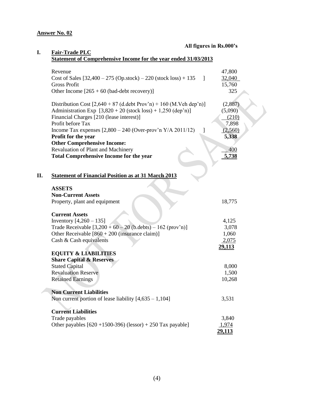#### **All figures in Rs.000's**

| Revenue                                                              | 47,800                 |
|----------------------------------------------------------------------|------------------------|
| Cost of Sales $[32,400 - 275 (Op.stock) - 220 (stock loss) + 135)$   | 32,040<br>$\mathbf{I}$ |
| <b>Gross Profit</b>                                                  | 15,760                 |
| Other Income $[265 + 60$ (bad-debt recovery)]                        | 325                    |
| Distribution Cost $[2,640 + 87$ (d.debt Prov'n) + 160 (M.Veh dep'n)] | (2,887)                |
| Administration Exp $[3,820 + 20$ (stock loss) + 1,250 (dep'n)]       | (5,090)                |
| Financial Charges [210 (lease interest)]                             | (210)                  |
| Profit before Tax                                                    | 7,898                  |
| Income Tax expenses $[2,800 - 240$ (Over-prov'n Y/A 2011/12)         | (2,560)<br>$\perp$     |
| Profit for the year                                                  | 5,338                  |
| <b>Other Comprehensive Income:</b>                                   |                        |
| Revaluation of Plant and Machinery                                   | 400                    |
| <b>Total Comprehensive Income for the year</b>                       | 5,738                  |
|                                                                      |                        |
| <b>Statement of Financial Position as at 31 March 2013</b>           |                        |
| <b>ASSETS</b>                                                        |                        |
| <b>Non-Current Assets</b>                                            |                        |
| Property, plant and equipment                                        | 18,775                 |
|                                                                      |                        |
| <b>Current Assets</b>                                                |                        |
| Inventory $[4,260 - 135]$                                            | 4,125                  |
| Trade Receivable $[3,200 + 60 - 20$ (b.debts) - 162 (prov'n)]        | 3,078                  |
| Other Receivable $[860 + 200$ (insurance claim)]                     | 1,060                  |
| Cash & Cash equivalents                                              | <u>2,075</u>           |
|                                                                      | <u>29,113</u>          |
| <b>EQUITY &amp; LIABILITIES</b>                                      |                        |
| <b>Share Capital &amp; Reserves</b>                                  |                        |
| <b>Stated Capital</b>                                                | 8,000                  |
| <b>Revaluation Reserve</b>                                           | 1,500                  |
| <b>Retained Earnings</b>                                             | 10,268                 |
| <b>Non Current Liabilities</b>                                       |                        |
| Non current portion of lease liability $[4,635 - 1,104]$             | 3,531                  |
| <b>Current Liabilities</b>                                           |                        |
| Trade payables                                                       | 3,840                  |
| Other payables $[620 + 1500 - 396)$ (lessor) + 250 Tax payable]      | 1,974                  |
|                                                                      | 29,113                 |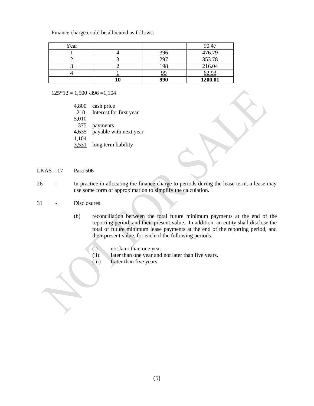Finance charge could be allocated as follows:

| Year |           | 90.47        |
|------|-----------|--------------|
|      | 396       | 476.79       |
|      | 297       | 353.78       |
|      | 198       | 216.04       |
|      | <u>99</u> | <u>62.93</u> |
|      | 990       | 1200.01      |

 $125*12 = 1,500 - 396 = 1,104$ 

| 4,800 | cash price              |
|-------|-------------------------|
| 210   | Interest for first year |
| 5,010 |                         |
| 375   | payments                |
| 4,635 | payable with next year  |
| 1,104 |                         |
| 3,531 | long term liability     |

 $LKAS - 17$  Para 506

26 - In practice in allocating the finance charge to periods during the lease term, a lease may use some form of approximation to simplify the calculation.

#### 31 - Disclosures

- (b) reconciliation between the total future minimum payments at the end of the reporting period, and their present value. In addition, an entity shall disclose the total of future minimum lease payments at the end of the reporting period, and their present value, for each of the following periods.
	- (i) not later than one year
	- (ii) later than one year and not later than five years.
	- (iii) Later than five years.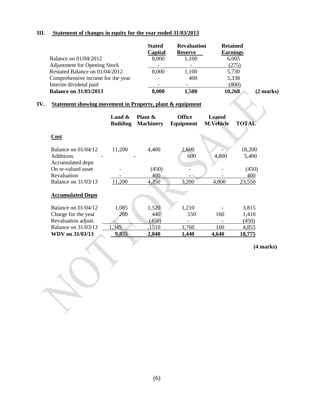# **III. Statement of changes in equity for the year ended 31/03/2013**

|                                     | <b>Stated</b><br>Capital | <b>Revaluation</b><br><b>Reserve</b> | <b>Retained</b><br><b>Earnings</b> |           |
|-------------------------------------|--------------------------|--------------------------------------|------------------------------------|-----------|
| <b>Balance on 01/04/2012</b>        | 8,000                    | 1,100                                | 6,005                              |           |
| <b>Adjustment for Opening Stock</b> |                          |                                      | (275)                              |           |
| Restated Balance on 01/04/2012      | 8,000                    | 1,100                                | 5,730                              |           |
| Comprehensive income for the year   | $\overline{\phantom{a}}$ | 400                                  | 5,338                              |           |
| Interim dividend paid               |                          |                                      | (800)                              |           |
| <b>Balance on 31/03/2013</b>        | 8,000                    | 1,500                                | 10,268                             | (2 marks) |

# **IV. Statement showing movement in Property, plant & equipment**

|                                      | Land $\&$<br><b>Building</b> | Plant &<br><b>Machinery</b> | <b>Office</b><br>Equipment | <b>Leased</b><br><b>M.Vehicle</b> | <b>TOTAL</b> |
|--------------------------------------|------------------------------|-----------------------------|----------------------------|-----------------------------------|--------------|
| Cost                                 |                              |                             |                            |                                   |              |
| Balance on $01/04/12$                | 11,200                       | 4,400                       | 2,600                      |                                   | 18,200       |
| <b>Additions</b><br>Accumulated depn |                              |                             | 600                        | 4,800                             | 5,400        |
| On re-valued asset                   |                              | (450)                       |                            |                                   | (450)        |
| Revaluation                          |                              | 400                         |                            |                                   | 400          |
| <b>Balance on 31/03/13</b>           | 11,200                       | 4,350                       | 3,200                      | 4,800                             | 23,550       |
| <b>Accumulated Depn</b>              |                              |                             |                            |                                   |              |
| Balance on $01/04/12$                | 1,085                        | 1,520                       | 1,210                      |                                   | 3,815        |
| Charge for the year                  | 260                          | 440                         | 550                        | 160                               | 1,410        |
| Revaluation adjust.                  |                              | (450)                       |                            |                                   | <u>(450)</u> |
| <b>Balance on 31/03/13</b>           | ,345                         | ,1510                       | 1,760                      | 160                               | 4,855        |
| WDV on 31/03/13                      | 9,855                        | 2,840                       | 1,440                      | 4,640                             | 18,775       |

**(4 marks)**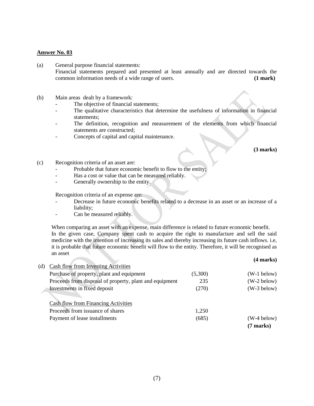- (a) General purpose financial statements: Financial statements prepared and presented at least annually and are directed towards the common information needs of a wide range of users. (1 mark) common information needs of a wide range of users.
- (b) Main areas dealt by a framework:
	- The objective of financial statements;
	- The qualitative characteristics that determine the usefulness of information in financial statements;
	- The definition, recognition and measurement of the elements from which financial statements are constructed;
	- Concepts of capital and capital maintenance.

**(3 marks)**

- (c) Recognition criteria of an asset are:
	- Probable that future economic benefit to flow to the entity;
	- Has a cost or value that can be measured reliably.
	- Generally ownership to the entity.

Recognition criteria of an expense are:

- Decrease in future economic benefits related to a decrease in an asset or an increase of a liability;
- Can be measured reliably.

When comparing an asset with an expense, main difference is related to future economic benefit. In the given case, Company spent cash to acquire the right to manufacture and sell the said medicine with the intention of increasing its sales and thereby increasing its future cash inflows. i.e, it is probable that future economic benefit will flow to the entity. Therefore, it will be recognised as an asset **(4 marks)**

|     |                                                         |         | (4 шагкэ)     |
|-----|---------------------------------------------------------|---------|---------------|
| (d) | Cash flow from Investing Activities                     |         |               |
|     | Purchase of property, plant and equipment               | (5,300) | $(W-1$ below) |
|     | Proceeds from disposal of property, plant and equipment | 235     | $(W-2$ below) |
|     | Investments in fixed deposit                            | (270)   | $(W-3$ below) |
|     |                                                         |         |               |
|     | Cash flow from Financing Activities                     |         |               |
|     | Proceeds from issuance of shares                        | 1,250   |               |
|     | Payment of lease installments                           | (685)   | (W-4 below)   |
|     |                                                         |         | (7 marks)     |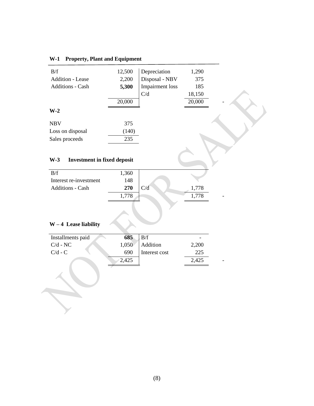# **W-1 Property, Plant and Equipment**

| B/f                     | 12,500 | Depreciation           | 1,290  |  |
|-------------------------|--------|------------------------|--------|--|
| <b>Addition - Lease</b> | 2,200  | Disposal - NBV         | 375    |  |
| Additions - Cash        | 5,300  | <b>Impairment</b> loss | 185    |  |
|                         |        | C/d                    | 18,150 |  |
|                         | 20,000 |                        | 20,000 |  |
| $W-2$                   |        |                        |        |  |
|                         |        |                        |        |  |
| <b>NBV</b>              | 375    |                        |        |  |
| Loss on disposal        | (140)  |                        |        |  |
| Sales proceeds          | 235    |                        |        |  |

# **W-3 Investment in fixed deposit**

| B/f                     | 1,360 |     |       |  |
|-------------------------|-------|-----|-------|--|
| Interest re-investment  | 148   |     |       |  |
| <b>Additions - Cash</b> | 270   | C/d | 1,778 |  |
|                         | 1,778 |     | 1.778 |  |
|                         |       |     |       |  |

# **W – 4 Lease liability**

| Installments paid | 685   | B/f           | -     |  |
|-------------------|-------|---------------|-------|--|
| $C/d$ - NC        | 1,050 | Addition      | 2,200 |  |
| $C/d$ - $C$       | 690   | Interest cost | 225   |  |
|                   | 2,425 |               | 2,425 |  |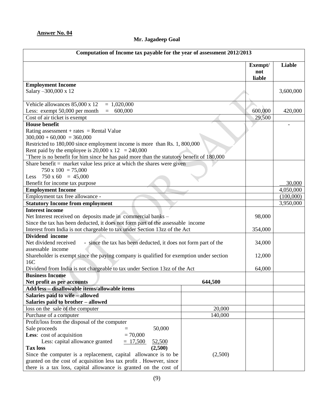# **Mr. Jagadeep Goal**

| Computation of Income tax payable for the year of assessment 2012/2013                                                                                |         |                          |                        |
|-------------------------------------------------------------------------------------------------------------------------------------------------------|---------|--------------------------|------------------------|
|                                                                                                                                                       |         | Exempt/<br>not<br>liable | Liable                 |
| <b>Employment Income</b>                                                                                                                              |         |                          |                        |
| Salary -300,000 x 12                                                                                                                                  |         |                          | 3,600,000              |
| Vehicle allowances 85,000 x 12<br>$= 1,020,000$                                                                                                       |         |                          |                        |
| 600,000<br>Less: exempt 50,000 per month<br>$=$                                                                                                       |         | 600,000                  | 420,000                |
| Cost of air ticket is exempt                                                                                                                          |         | 29,500                   |                        |
| <b>House benefit</b>                                                                                                                                  |         |                          |                        |
| Rating assessment + rates = Rental Value<br>$300,000 + 60,000 = 360,000$<br>Restricted to 180,000 since employment income is more than Rs. 1, 800,000 |         |                          |                        |
| Rent paid by the employee is 20,000 x 12 = 240,000                                                                                                    |         |                          |                        |
| There is no benefit for him since he has paid more than the statutory benefit of 180,000                                                              |         |                          |                        |
| Share benefit $=$ market value less price at which the shares were given<br>$750 \times 100 = 75,000$                                                 |         |                          |                        |
| Less $750 \times 60 = 45,000$                                                                                                                         |         |                          |                        |
| Benefit for income tax purpose                                                                                                                        |         |                          | 30,000                 |
| <b>Employment Income</b>                                                                                                                              |         |                          | 4,050,000              |
| Employment tax free allowance -                                                                                                                       |         |                          | (100,000)              |
| <b>Statutory Income from employment</b>                                                                                                               |         |                          | $\overline{3,950,000}$ |
| Interest income<br>Net Interest received on deposits made in commercial banks -                                                                       |         |                          |                        |
| Since the tax has been deducted, it does not form part of the assessable income                                                                       |         |                          |                        |
| Interest from India is not chargeable to tax under Section 13zz of the Act                                                                            |         |                          |                        |
| Dividend income<br>Net dividend received<br>- since the tax has been deducted, it does not form part of the                                           |         |                          |                        |
| assessable income<br>Shareholder is exempt since the paying company is qualified for exemption under section<br>16C                                   |         |                          |                        |
| Dividend from India is not chargeable to tax under Section 13zz of the Act                                                                            |         |                          |                        |
| <b>Business Income</b>                                                                                                                                |         | 64,000                   |                        |
| Net profit as per accounts                                                                                                                            | 644,500 |                          |                        |
| Add/less - disallowable items/allowable items                                                                                                         |         |                          |                        |
| Salaries paid to wife - allowed                                                                                                                       |         |                          |                        |
| Salaries paid to brother - allowed                                                                                                                    |         |                          |                        |
| loss on the sale of the computer                                                                                                                      | 20,000  |                          |                        |
| Purchase of a computer                                                                                                                                | 140,000 |                          |                        |
| Profit/loss from the disposal of the computer                                                                                                         |         |                          |                        |
| 50,000<br>Sale proceeds<br>$=$                                                                                                                        |         |                          |                        |
| Less: cost of acquisition<br>$= 70,000$                                                                                                               |         |                          |                        |
| Less: capital allowance granted<br>$= 17,500$<br>52,500                                                                                               |         |                          |                        |
| <b>Tax loss</b><br>(2,500)                                                                                                                            |         |                          |                        |
| Since the computer is a replacement, capital allowance is to be                                                                                       | (2,500) |                          |                        |
| granted on the cost of acquisition less tax profit. However, since                                                                                    |         |                          |                        |
| there is a tax loss, capital allowance is granted on the cost of                                                                                      |         |                          |                        |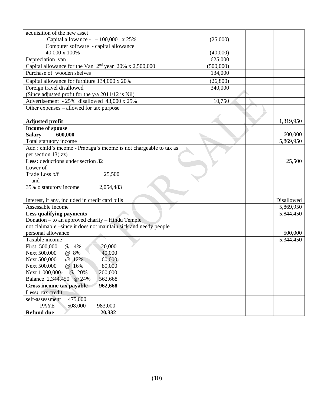| acquisition of the new asset                                                                                        |           |            |
|---------------------------------------------------------------------------------------------------------------------|-----------|------------|
| Capital allowance - $-100,000 \times 25\%$                                                                          | (25,000)  |            |
| Computer software - capital allowance                                                                               |           |            |
| 40,000 x 100%                                                                                                       | (40,000)  |            |
| Depreciation van                                                                                                    | 625,000   |            |
| Capital allowance for the Van 2 <sup>nd</sup> year 20% x 2,500,000                                                  | (500,000) |            |
| Purchase of wooden shelves                                                                                          | 134,000   |            |
| Capital allowance for furniture 134,000 x 20%                                                                       | (26,800)  |            |
| Foreign travel disallowed                                                                                           | 340,000   |            |
| (Since adjusted profit for the y/a 2011/12 is Nil)                                                                  |           |            |
| Advertisement - 25% disallowed 43,000 x 25%                                                                         | 10,750    |            |
| Other expenses – allowed for tax purpose                                                                            |           |            |
|                                                                                                                     |           |            |
| <b>Adjusted profit</b>                                                                                              |           | 1,319,950  |
| Income of spouse                                                                                                    |           |            |
| <b>Salary</b><br>$-600,000$                                                                                         |           | 600,000    |
| Total statutory income                                                                                              |           | 5,869,950  |
| Add : child's income - Prabaga's income is not chargeable to tax as                                                 |           |            |
| per section $13(zz)$                                                                                                |           |            |
| Less: deductions under section 32                                                                                   |           | 25,500     |
| Lower of                                                                                                            |           |            |
| Trade Loss b/f<br>25,500                                                                                            |           |            |
| and                                                                                                                 |           |            |
| 35% o statutory income<br>2,054,483                                                                                 |           |            |
|                                                                                                                     |           |            |
| Interest, if any, included in credit card bills                                                                     |           | Disallowed |
| Assessable income                                                                                                   |           | 5,869,950  |
| <b>Less qualifying payments</b>                                                                                     |           | 5,844,450  |
| Donation – to an approved charity – Hindu Temple<br>not claimable -since it does not maintain sick and needy people |           |            |
| personal allowance                                                                                                  |           | 500,000    |
| Taxable income                                                                                                      |           | 5,344,450  |
| First 500,000<br>20,000<br>@ 4%                                                                                     |           |            |
| Next 500,000<br>40,000<br>@ 8%                                                                                      |           |            |
| Next 500,000<br>@ 12%<br>60,000                                                                                     |           |            |
| 80,000<br>Next 500,000<br>@ 16%                                                                                     |           |            |
| Next 1,000,000<br>@ 20%<br>200,000                                                                                  |           |            |
| Balance 2,344,450 @ 24%<br>562,668                                                                                  |           |            |
| Gross income tax payable<br>962,668                                                                                 |           |            |
| Less: tax credit                                                                                                    |           |            |
| 475,000<br>self-assessment                                                                                          |           |            |
| <b>PAYE</b><br>508,000<br>983,000                                                                                   |           |            |
| <b>Refund due</b><br>20,332                                                                                         |           |            |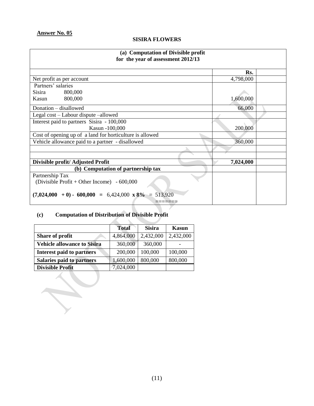# **SISIRA FLOWERS**

| (a) Computation of Divisible profit<br>for the year of assessment 2012/13 |           |  |  |
|---------------------------------------------------------------------------|-----------|--|--|
|                                                                           | Rs.       |  |  |
| Net profit as per account                                                 | 4,798,000 |  |  |
| Partners' salaries                                                        |           |  |  |
| Sisira<br>800,000                                                         |           |  |  |
| 800,000<br>Kasun                                                          | 1,600,000 |  |  |
| Donation - disallowed                                                     | 66,000    |  |  |
| Legal cost - Labour dispute -allowed                                      |           |  |  |
| Interest paid to partners Sisira - 100,000                                |           |  |  |
| Kasun -100,000                                                            | 200,000   |  |  |
| Cost of opening up of a land for horticulture is allowed                  |           |  |  |
| Vehicle allowance paid to a partner - disallowed                          | 360,000   |  |  |
|                                                                           |           |  |  |
| Divisible profit/ Adjusted Profit                                         | 7,024,000 |  |  |
| (b) Computation of partnership tax                                        |           |  |  |
| Partnership Tax                                                           |           |  |  |
| (Divisible Profit + Other Income) $-600,000$                              |           |  |  |
| $(7,024,000 + 0) - 600,000 = 6,424,000 \times 8\% = 513,920$              |           |  |  |

# **(c) Computation of Distribution of Divisible Profit**

 $\widetilde{\gamma}$ 

|                                    | <b>Total</b> | <b>Sisira</b> | Kasun     |
|------------------------------------|--------------|---------------|-----------|
| Share of profit                    | 4,864,000    | 2,432,000     | 2,432,000 |
| <b>Vehicle allowance to Sisira</b> | 360,000      | 360,000       |           |
| <b>Interest paid to partners</b>   | 200,000      | 100,000       | 100,000   |
| <b>Salaries paid to partners</b>   | 1,600,000    | 800,000       | 800,000   |
| <b>Divisible Profit</b>            | 7,024,000    |               |           |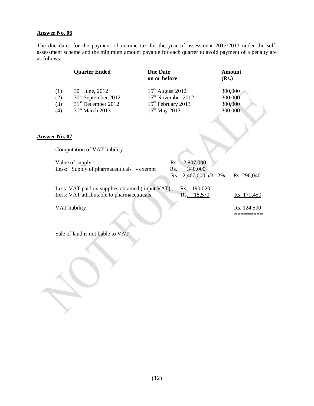The due dates for the payment of income tax for the year of assessment 2012/2013 under the selfassessment scheme and the minimum amount payable for each quarter to avoid payment of a penalty are as follows:

|                          | <b>Quarter Ended</b>                                                                                                     | <b>Due Date</b><br>on or before                                                                                     | Amount<br>(Rs.)                          |
|--------------------------|--------------------------------------------------------------------------------------------------------------------------|---------------------------------------------------------------------------------------------------------------------|------------------------------------------|
| (1)<br>(2)<br>(3)<br>(4) | $30^{th}$ June, 2012<br>30 <sup>th</sup> September 2012<br>31 <sup>st</sup> December 2012<br>31 <sup>st</sup> March 2013 | $15th$ August 2012<br>15 <sup>th</sup> November 2012<br>15 <sup>th</sup> February 2013<br>15 <sup>th</sup> May 2013 | 300,000<br>300,000<br>300,000<br>300,000 |
| $\cdot$ No. 07           |                                                                                                                          |                                                                                                                     |                                          |
|                          | Computation of VAT liability                                                                                             |                                                                                                                     |                                          |

#### **Answer No. 07**

| Computation of VAT liability.                   |                     |             |
|-------------------------------------------------|---------------------|-------------|
| Value of supply                                 | 2,807,000<br>Rs.    |             |
| Less: Supply of pharmaceuticals - exempt        | 340,000<br>Rs.      |             |
|                                                 | Rs. 2,467,000 @ 12% | Rs. 296,040 |
| Less: VAT paid on supplies obtained (input VAT) | 190,020<br>Rs.      |             |
| Less: VAT attributable to pharmaceuticals       | 18,570<br>Rs.       | Rs. 171,450 |
| VAT liability                                   |                     | Rs. 124,590 |
|                                                 |                     |             |

Sale of land is not liable to VAT